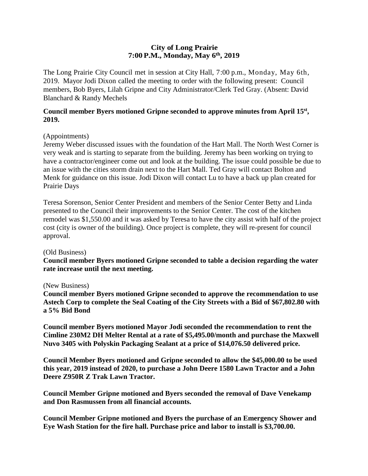# **City of Long Prairie 7:00P.M., Monday, May 6th, 2019**

The Long Prairie City Council met in session at City Hall, 7:00 p.m., Monday, May 6th, 2019. Mayor Jodi Dixon called the meeting to order with the following present: Council members, Bob Byers, Lilah Gripne and City Administrator/Clerk Ted Gray. (Absent: David Blanchard & Randy Mechels

### **Council member Byers motioned Gripne seconded to approve minutes from April 15 st , 2019.**

# (Appointments)

Jeremy Weber discussed issues with the foundation of the Hart Mall. The North West Corner is very weak and is starting to separate from the building. Jeremy has been working on trying to have a contractor/engineer come out and look at the building. The issue could possible be due to an issue with the cities storm drain next to the Hart Mall. Ted Gray will contact Bolton and Menk for guidance on this issue. Jodi Dixon will contact Lu to have a back up plan created for Prairie Days

Teresa Sorenson, Senior Center President and members of the Senior Center Betty and Linda presented to the Council their improvements to the Senior Center. The cost of the kitchen remodel was \$1,550.00 and it was asked by Teresa to have the city assist with half of the project cost (city is owner of the building). Once project is complete, they will re-present for council approval.

#### (Old Business)

**Council member Byers motioned Gripne seconded to table a decision regarding the water rate increase until the next meeting.** 

#### (New Business)

**Council member Byers motioned Gripne seconded to approve the recommendation to use Astech Corp to complete the Seal Coating of the City Streets with a Bid of \$67,802.80 with a 5% Bid Bond**

**Council member Byers motioned Mayor Jodi seconded the recommendation to rent the Cimline 230M2 DH Melter Rental at a rate of \$5,495.00/month and purchase the Maxwell Nuvo 3405 with Polyskin Packaging Sealant at a price of \$14,076.50 delivered price.**

**Council Member Byers motioned and Gripne seconded to allow the \$45,000.00 to be used this year, 2019 instead of 2020, to purchase a John Deere 1580 Lawn Tractor and a John Deere Z950R Z Trak Lawn Tractor.**

**Council Member Gripne motioned and Byers seconded the removal of Dave Venekamp and Don Rasmussen from all financial accounts.**

**Council Member Gripne motioned and Byers the purchase of an Emergency Shower and Eye Wash Station for the fire hall. Purchase price and labor to install is \$3,700.00.**